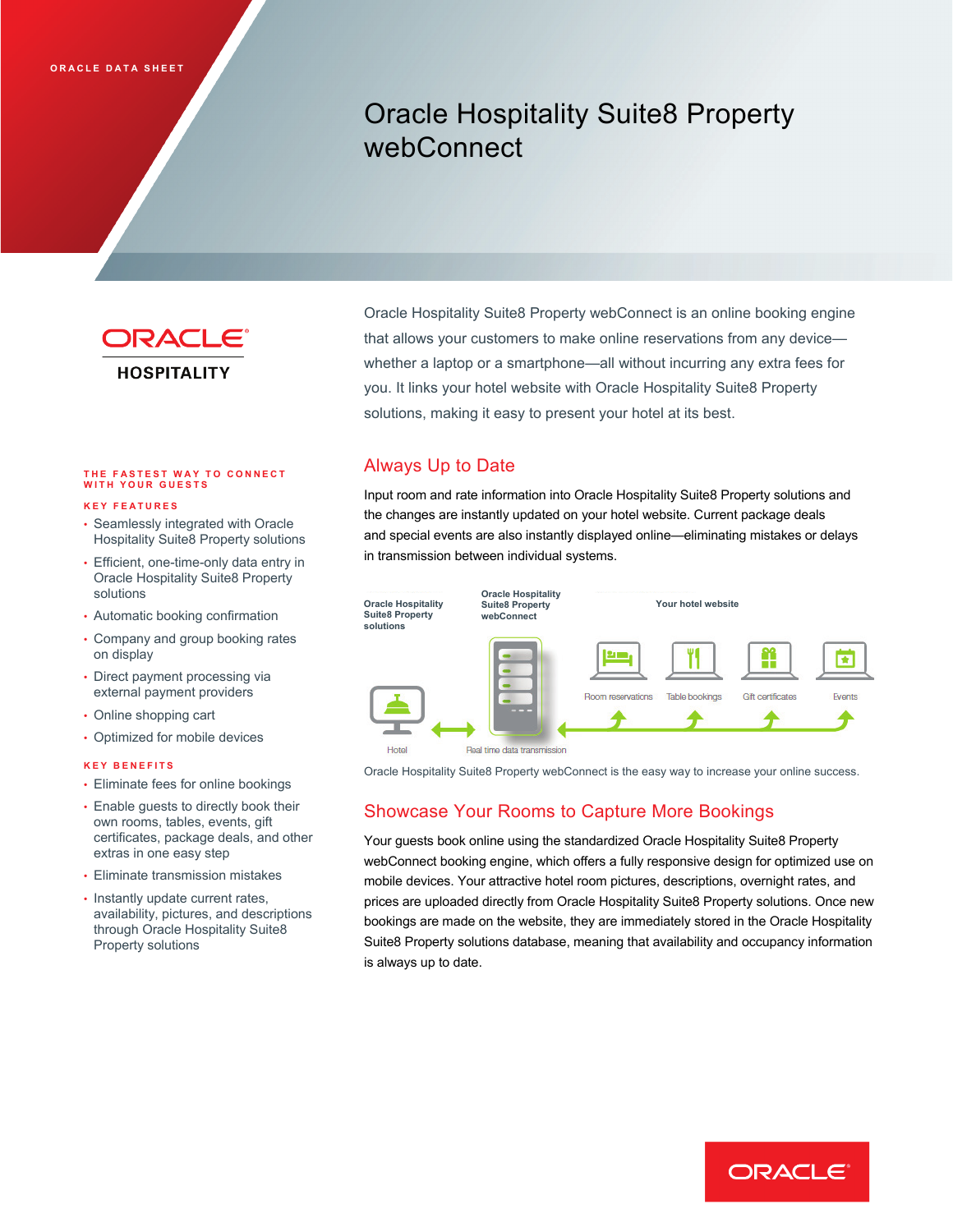# Oracle Hospitality Suite8 Property webConnect



## **THE FASTEST WAY TO C ONNECT WITH YOUR GUESTS**

#### **KEY FEATURES**

- Seamlessly integrated with Oracle Hospitality Suite8 Property solutions
- Efficient, one-time-only data entry in Oracle Hospitality Suite8 Property solutions
- Automatic booking confirmation
- Company and group booking rates on display
- Direct payment processing via external payment providers
- Online shopping cart
- Optimized for mobile devices

#### **KEY BENEFITS**

- Eliminate fees for online bookings
- Enable guests to directly book their own rooms, tables, events, gift certificates, package deals, and other extras in one easy step
- Eliminate transmission mistakes
- Instantly update current rates, availability, pictures, and descriptions through Oracle Hospitality Suite8 Property solutions

Oracle Hospitality Suite8 Property webConnect is an online booking engine that allows your customers to make online reservations from any device whether a laptop or a smartphone—all without incurring any extra fees for you. It links your hotel website with Oracle Hospitality Suite8 Property solutions, making it easy to present your hotel at its best.

### Always Up to Date

Input room and rate information into Oracle Hospitality Suite8 Property solutions and the changes are instantly updated on your hotel website. Current package deals and special events are also instantly displayed online—eliminating mistakes or delays in transmission between individual systems.



Oracle Hospitality Suite8 Property webConnect is the easy way to increase your online success.

## Showcase Your Rooms to Capture More Bookings

Your guests book online using the standardized Oracle Hospitality Suite8 Property webConnect booking engine, which offers a fully responsive design for optimized use on mobile devices. Your attractive hotel room pictures, descriptions, overnight rates, and prices are uploaded directly from Oracle Hospitality Suite8 Property solutions. Once new bookings are made on the website, they are immediately stored in the Oracle Hospitality Suite8 Property solutions database, meaning that availability and occupancy information is always up to date.